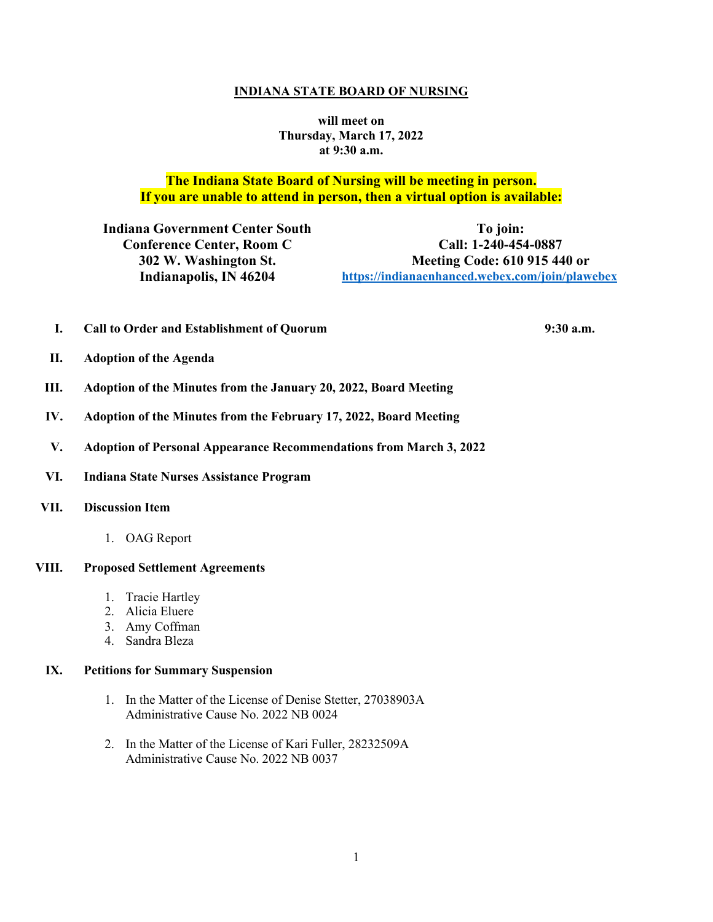#### **INDIANA STATE BOARD OF NURSING**

**will meet on Thursday, March 17, 2022 at 9:30 a.m.**

# **The Indiana State Board of Nursing will be meeting in person. If you are unable to attend in person, then a virtual option is available:**

**Indiana Government Center South Conference Center, Room C 302 W. Washington St. Indianapolis, IN 46204**

**To join: Call: 1-240-454-0887 Meeting Code: 610 915 440 or [https://indianaenhanced.webex.com/join/plawebex](https://indianaenhanced.webex.com/join/PLAWebex)**

**I. Call to Order and Establishment of Quorum 9:30 a.m.** 

- **II. Adoption of the Agenda**
- **III. Adoption of the Minutes from the January 20, 2022, Board Meeting**
- **IV. Adoption of the Minutes from the February 17, 2022, Board Meeting**
- **V. Adoption of Personal Appearance Recommendations from March 3, 2022**
- **VI. Indiana State Nurses Assistance Program**

#### **VII. Discussion Item**

1. OAG Report

#### **VIII. Proposed Settlement Agreements**

- 1. Tracie Hartley
- 2. Alicia Eluere
- 3. Amy Coffman
- 4. Sandra Bleza

#### **IX. Petitions for Summary Suspension**

- 1. In the Matter of the License of Denise Stetter, 27038903A Administrative Cause No. 2022 NB 0024
- 2. In the Matter of the License of Kari Fuller, 28232509A Administrative Cause No. 2022 NB 0037